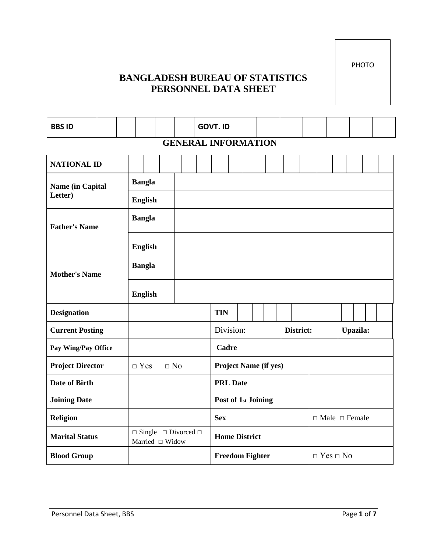PHOTO

# **BANGLADESH BUREAU OF STATISTICS PERSONNEL DATA SHEET**

| <b>BBS ID</b>           |               |  |                |  |                 |                                      |  | <b>GOVT. ID</b>                                |                              |  |  |  |           |  |  |          |  |  |
|-------------------------|---------------|--|----------------|--|-----------------|--------------------------------------|--|------------------------------------------------|------------------------------|--|--|--|-----------|--|--|----------|--|--|
|                         |               |  |                |  |                 |                                      |  | <b>GENERAL INFORMATION</b>                     |                              |  |  |  |           |  |  |          |  |  |
| <b>NATIONAL ID</b>      |               |  |                |  |                 |                                      |  |                                                |                              |  |  |  |           |  |  |          |  |  |
| <b>Name (in Capital</b> | <b>Bangla</b> |  |                |  |                 |                                      |  |                                                |                              |  |  |  |           |  |  |          |  |  |
| Letter)                 |               |  | <b>English</b> |  |                 |                                      |  |                                                |                              |  |  |  |           |  |  |          |  |  |
| <b>Father's Name</b>    |               |  | <b>Bangla</b>  |  |                 |                                      |  |                                                |                              |  |  |  |           |  |  |          |  |  |
|                         |               |  | <b>English</b> |  |                 |                                      |  |                                                |                              |  |  |  |           |  |  |          |  |  |
| <b>Mother's Name</b>    |               |  | <b>Bangla</b>  |  |                 |                                      |  |                                                |                              |  |  |  |           |  |  |          |  |  |
|                         |               |  | <b>English</b> |  |                 |                                      |  |                                                |                              |  |  |  |           |  |  |          |  |  |
| <b>Designation</b>      |               |  |                |  |                 |                                      |  | <b>TIN</b>                                     |                              |  |  |  |           |  |  |          |  |  |
| <b>Current Posting</b>  |               |  |                |  |                 |                                      |  |                                                | Division:                    |  |  |  | District: |  |  | Upazila: |  |  |
| Pay Wing/Pay Office     |               |  |                |  |                 |                                      |  | Cadre                                          |                              |  |  |  |           |  |  |          |  |  |
| <b>Project Director</b> |               |  | $\Box$ Yes     |  | $\Box$ No       |                                      |  |                                                | <b>Project Name (if yes)</b> |  |  |  |           |  |  |          |  |  |
| <b>Date of Birth</b>    |               |  |                |  |                 |                                      |  |                                                | <b>PRL Date</b>              |  |  |  |           |  |  |          |  |  |
| <b>Joining Date</b>     |               |  |                |  |                 |                                      |  | Post of 1st Joining                            |                              |  |  |  |           |  |  |          |  |  |
| <b>Religion</b>         |               |  |                |  |                 |                                      |  | $\Box$ Male $\Box$ Female<br><b>Sex</b>        |                              |  |  |  |           |  |  |          |  |  |
| <b>Marital Status</b>   |               |  |                |  | Married □ Widow | $\Box$ Single $\Box$ Divorced $\Box$ |  | <b>Home District</b>                           |                              |  |  |  |           |  |  |          |  |  |
| <b>Blood Group</b>      |               |  |                |  |                 |                                      |  | <b>Freedom Fighter</b><br>$\Box$ Yes $\Box$ No |                              |  |  |  |           |  |  |          |  |  |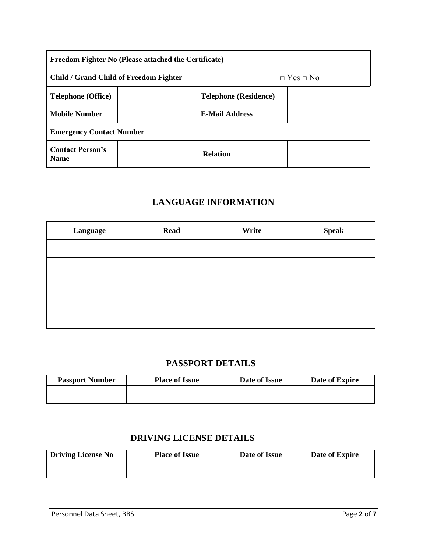|                                               | <b>Freedom Fighter No (Please attached the Certificate)</b> |                              |  |                      |
|-----------------------------------------------|-------------------------------------------------------------|------------------------------|--|----------------------|
| <b>Child / Grand Child of Freedom Fighter</b> |                                                             |                              |  | $\Box$ Yes $\Box$ No |
| <b>Telephone (Office)</b>                     |                                                             | <b>Telephone (Residence)</b> |  |                      |
| <b>Mobile Number</b>                          | <b>E-Mail Address</b>                                       |                              |  |                      |
| <b>Emergency Contact Number</b>               |                                                             |                              |  |                      |
| <b>Contact Person's</b><br><b>Name</b>        |                                                             | <b>Relation</b>              |  |                      |

## **LANGUAGE INFORMATION**

| Language | <b>Read</b> | Write | <b>Speak</b> |
|----------|-------------|-------|--------------|
|          |             |       |              |
|          |             |       |              |
|          |             |       |              |
|          |             |       |              |
|          |             |       |              |

## **PASSPORT DETAILS**

| <b>Passport Number</b> | <b>Place of Issue</b> | Date of Issue | Date of Expire |
|------------------------|-----------------------|---------------|----------------|
|                        |                       |               |                |
|                        |                       |               |                |

## **DRIVING LICENSE DETAILS**

| <b>Driving License No</b> | <b>Place of Issue</b> | Date of Issue | Date of Expire |
|---------------------------|-----------------------|---------------|----------------|
|                           |                       |               |                |
|                           |                       |               |                |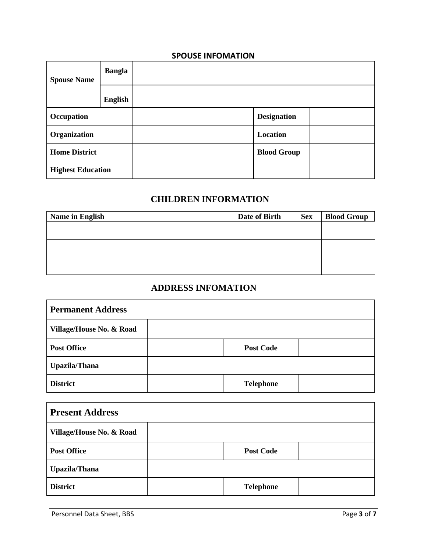### **SPOUSE INFOMATION**

| <b>Spouse Name</b>       | <b>Bangla</b> |                    |  |
|--------------------------|---------------|--------------------|--|
|                          | English       |                    |  |
| Occupation               |               | <b>Designation</b> |  |
| Organization             |               | Location           |  |
| <b>Home District</b>     |               | <b>Blood Group</b> |  |
| <b>Highest Education</b> |               |                    |  |

## **CHILDREN INFORMATION**

| <b>Name in English</b> | Date of Birth | <b>Sex</b> | <b>Blood Group</b> |
|------------------------|---------------|------------|--------------------|
|                        |               |            |                    |
|                        |               |            |                    |
|                        |               |            |                    |
|                        |               |            |                    |
|                        |               |            |                    |
|                        |               |            |                    |

## **ADDRESS INFOMATION**

| <b>Permanent Address</b>            |                  |  |  |  |  |  |  |
|-------------------------------------|------------------|--|--|--|--|--|--|
| <b>Village/House No. &amp; Road</b> |                  |  |  |  |  |  |  |
| <b>Post Office</b>                  | <b>Post Code</b> |  |  |  |  |  |  |
| <b>Upazila/Thana</b>                |                  |  |  |  |  |  |  |
| <b>District</b>                     | <b>Telephone</b> |  |  |  |  |  |  |

| <b>Present Address</b>   |                  |  |  |  |  |  |  |
|--------------------------|------------------|--|--|--|--|--|--|
| Village/House No. & Road |                  |  |  |  |  |  |  |
| <b>Post Office</b>       | <b>Post Code</b> |  |  |  |  |  |  |
| <b>Upazila/Thana</b>     |                  |  |  |  |  |  |  |
| <b>District</b>          | <b>Telephone</b> |  |  |  |  |  |  |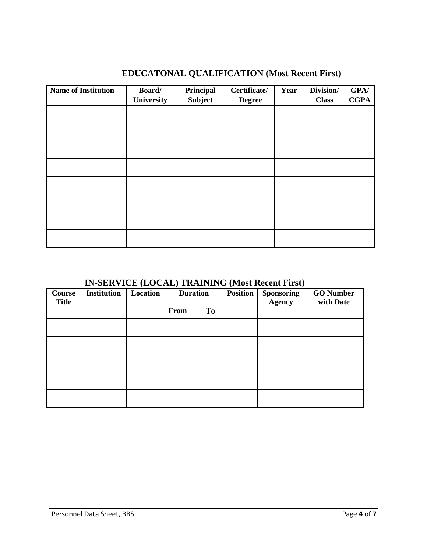| <b>Name of Institution</b> | Board/     | Principal | Certificate/  | Year | Division/    | GPA/        |
|----------------------------|------------|-----------|---------------|------|--------------|-------------|
|                            | University | Subject   | <b>Degree</b> |      | <b>Class</b> | <b>CGPA</b> |
|                            |            |           |               |      |              |             |
|                            |            |           |               |      |              |             |
|                            |            |           |               |      |              |             |
|                            |            |           |               |      |              |             |
|                            |            |           |               |      |              |             |
|                            |            |           |               |      |              |             |
|                            |            |           |               |      |              |             |
|                            |            |           |               |      |              |             |
|                            |            |           |               |      |              |             |
|                            |            |           |               |      |              |             |
|                            |            |           |               |      |              |             |
|                            |            |           |               |      |              |             |

# **EDUCATONAL QUALIFICATION (Most Recent First)**

## **IN-SERVICE (LOCAL) TRAINING (Most Recent First)**

| Course<br><b>Title</b> | <b>Institution</b> | Location | <b>Duration</b> |           |  |  | <b>Position</b> | <b>Sponsoring</b><br><b>Agency</b> | <b>GO</b> Number<br>with Date |
|------------------------|--------------------|----------|-----------------|-----------|--|--|-----------------|------------------------------------|-------------------------------|
|                        |                    |          | From            | <b>To</b> |  |  |                 |                                    |                               |
|                        |                    |          |                 |           |  |  |                 |                                    |                               |
|                        |                    |          |                 |           |  |  |                 |                                    |                               |
|                        |                    |          |                 |           |  |  |                 |                                    |                               |
|                        |                    |          |                 |           |  |  |                 |                                    |                               |
|                        |                    |          |                 |           |  |  |                 |                                    |                               |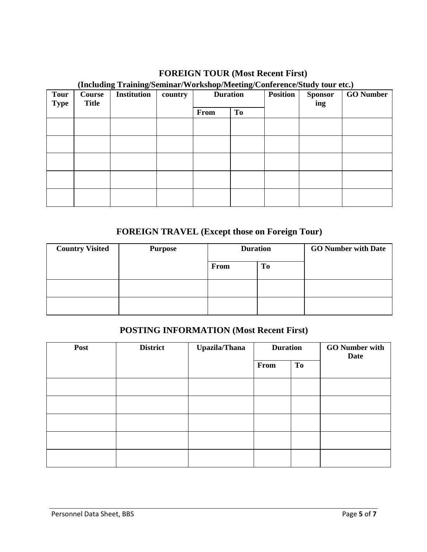## **FOREIGN TOUR (Most Recent First)**

#### **(Including Training/Seminar/Workshop/Meeting/Conference/Study tour etc.)**

| <b>Tour</b><br><b>Type</b> | \ <del>---------</del><br><b>Course</b><br><b>Title</b> | <b>Institution</b> | country | <b>Duration</b> |    | <b>Position</b> | $\ldots$<br><b>Sponsor</b><br>ing | <b>GO</b> Number |
|----------------------------|---------------------------------------------------------|--------------------|---------|-----------------|----|-----------------|-----------------------------------|------------------|
|                            |                                                         |                    |         | From            | To |                 |                                   |                  |
|                            |                                                         |                    |         |                 |    |                 |                                   |                  |
|                            |                                                         |                    |         |                 |    |                 |                                   |                  |
|                            |                                                         |                    |         |                 |    |                 |                                   |                  |
|                            |                                                         |                    |         |                 |    |                 |                                   |                  |
|                            |                                                         |                    |         |                 |    |                 |                                   |                  |

# **FOREIGN TRAVEL (Except those on Foreign Tour)**

| <b>Country Visited</b> | <b>Purpose</b> | <b>Duration</b> |    | <b>GO Number with Date</b> |
|------------------------|----------------|-----------------|----|----------------------------|
|                        |                | From            | To |                            |
|                        |                |                 |    |                            |
|                        |                |                 |    |                            |

### **POSTING INFORMATION (Most Recent First)**

| Post | <b>District</b> | <b>Upazila/Thana</b> | <b>Duration</b> |    | <b>GO</b> Number with<br>Date |
|------|-----------------|----------------------|-----------------|----|-------------------------------|
|      |                 |                      | From            | To |                               |
|      |                 |                      |                 |    |                               |
|      |                 |                      |                 |    |                               |
|      |                 |                      |                 |    |                               |
|      |                 |                      |                 |    |                               |
|      |                 |                      |                 |    |                               |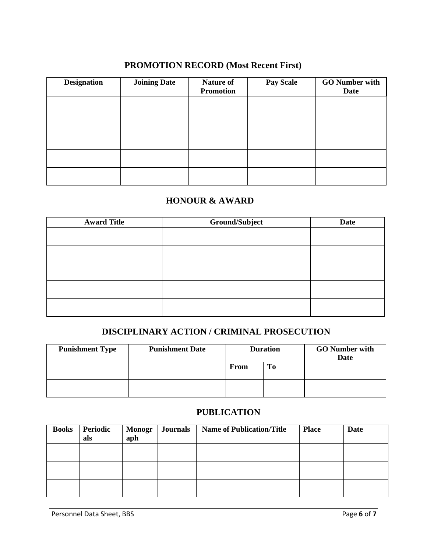## **PROMOTION RECORD (Most Recent First)**

| <b>Designation</b> | <b>Joining Date</b> | <b>Nature of</b><br><b>Promotion</b> | <b>Pay Scale</b> | <b>GO</b> Number with<br>Date |
|--------------------|---------------------|--------------------------------------|------------------|-------------------------------|
|                    |                     |                                      |                  |                               |
|                    |                     |                                      |                  |                               |
|                    |                     |                                      |                  |                               |
|                    |                     |                                      |                  |                               |
|                    |                     |                                      |                  |                               |

## **HONOUR & AWARD**

| <b>Award Title</b> | Ground/Subject | <b>Date</b> |
|--------------------|----------------|-------------|
|                    |                |             |
|                    |                |             |
|                    |                |             |
|                    |                |             |
|                    |                |             |
|                    |                |             |
|                    |                |             |
|                    |                |             |
|                    |                |             |
|                    |                |             |

## **DISCIPLINARY ACTION / CRIMINAL PROSECUTION**

| <b>Punishment Type</b> | <b>Punishment Date</b> | <b>Duration</b> |    | <b>GO</b> Number with<br><b>Date</b> |  |
|------------------------|------------------------|-----------------|----|--------------------------------------|--|
|                        |                        | From            | Тo |                                      |  |
|                        |                        |                 |    |                                      |  |

## **PUBLICATION**

| <b>Books</b> | Periodic<br>als | <b>Monogr</b><br>aph | <b>Journals</b> | <b>Name of Publication/Title</b> | <b>Place</b> | Date |
|--------------|-----------------|----------------------|-----------------|----------------------------------|--------------|------|
|              |                 |                      |                 |                                  |              |      |
|              |                 |                      |                 |                                  |              |      |
|              |                 |                      |                 |                                  |              |      |